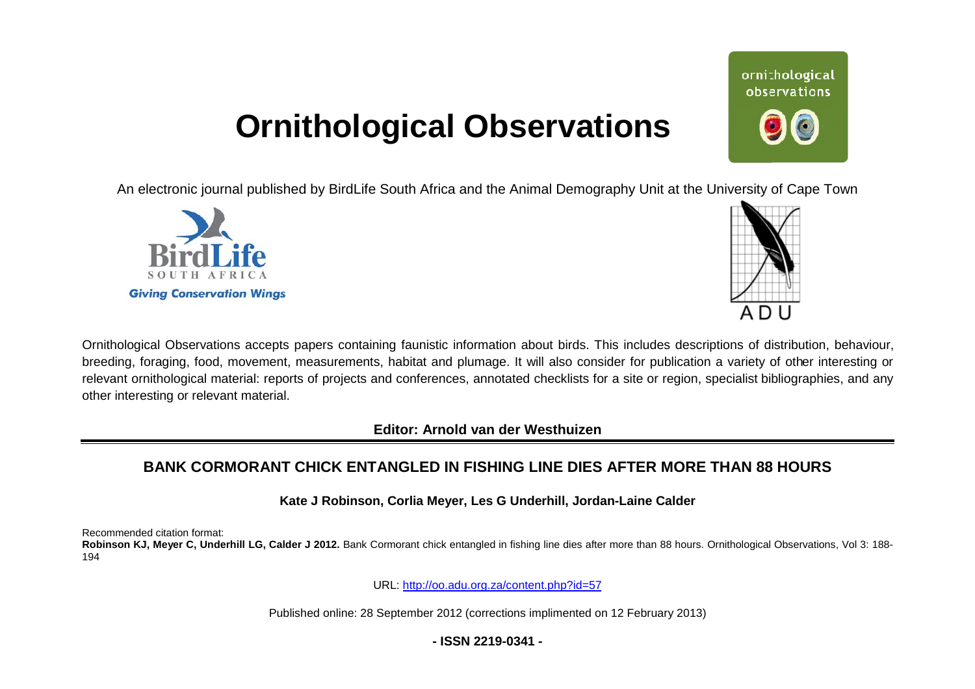# **Ornithological Observations**

An electronic journal published by BirdLife South Africa and the Animal Demography Unit at the University of Cape Town





Ornithological Observations accepts papers containing faunistic information about birds. This includes descriptions of distribution, behaviour, breeding, foraging, food, movement, measurements, habitat and plumage. It will also consider for publication a variety of other interesting or relevant ornithological material: reports of projects and conferences, annotated checklists for a site or region, specialist bibliographies, and any other interesting or relevant material.

**Editor: Arnold van der Westhuizen**

## BANK CORMORANT CHICK ENTANGLED IN FISHING LINE DIES AFTER MORE THAN 88 HOURS

**Kate J Robinson, C Corlia Meyer, Les G Underhill, Jordan-Laine Calder** 

Recommended citation format:

Robinson KJ, Meyer C, Underhill LG, Calder J 2012. Bank Cormorant chick entangled in fishing line dies after more than 88 hours. Ornithological Observations, Vol 3: 188-194

URL: <http://oo.adu.org.za/content.php?id=57>

Published online: 28 September 2012 (corrections implimented on 12 February 2013)

## **- ISSN 2219-0341 -**

ornithological observations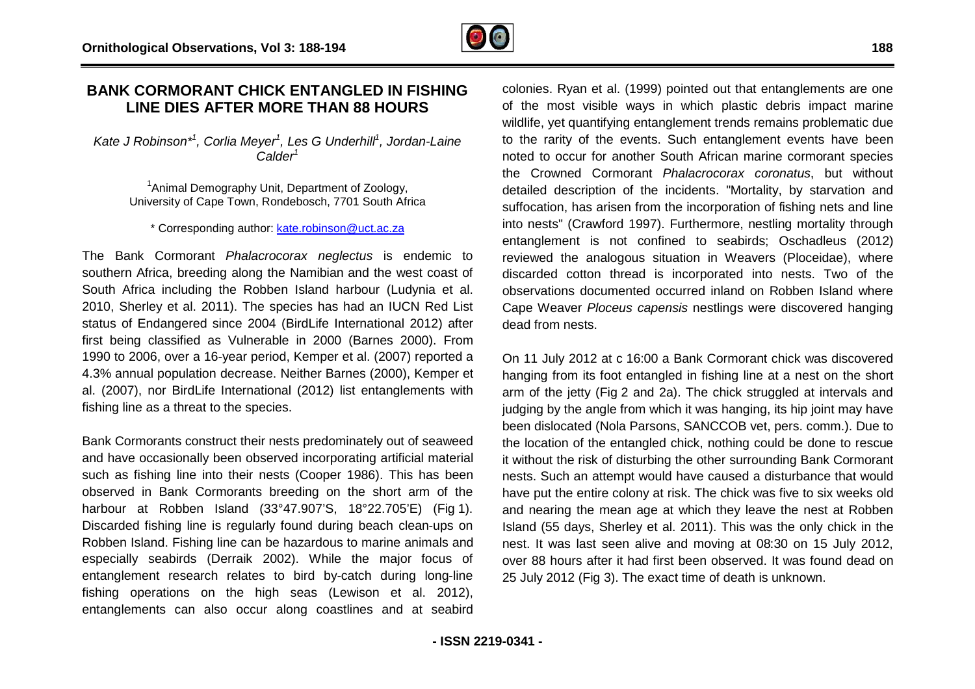## **BANK CORMORANT CHICK ENTANGLED IN FISHING LINE DIES AFTER MORE THANGLED IN FIS**<br>LINE DIES AFTER MORE THAN 88 HOURS

*Kate J Robinson\*<sup>1</sup> , Corlia Meyer<sup>1</sup> , Les G Underhill<sup>1</sup> , Jordan Jordan-Laine Calder<sup>1</sup>*

<sup>1</sup> Animal Demography Unit, Department of Zoology, University of Cape Town, Rondebosch, 7701 South Africa

#### \* Corresponding author: [kate.robinson@uct.ac.za](mailto:kate.robinson@uct.ac.za)

The Bank Cormorant *Phalacrocorax neglectus* is endemic to southern Africa, breeding along the Namibian and the west coast of South Africa including the Robben Island harbour (Ludynia et al. 2010, Sherley et al. 2011). The species has had an IUCN Red List status of Endangered since 2004 (BirdLife International 2012) after first being classified as Vulnerable in 2000 (Barnes 2000). From 1990 to 2006, over a 16-year period, Kemper et al. (2007) reported a 4.3% annual population decrease. Neither Barnes (2000), Kemper et al. (2007), nor BirdLife International (2012) list entanglements with fishing line as a threat to the species. year period, Kemper et al. (2007) reported a<br>decrease. Neither Barnes (2000), Kemper et<br>International (2012) list entanglements with<br>the species.<br>uct their nests predominately out of seaweed<br>een observed incorporating arti

Bank Cormorants construct their nests predominately out of seaweed and have occasionally been observed incorporating artificial material such as fishing line into their nests (Cooper 1986). This has been observed in Bank Cormorants breeding on the short ar harbour at Robben Island (33°47.907'S, 18°22.705'E) (Fig 1). Discarded fishing line is regularly found during beach clean-ups on Robben Island. Fishing line can be hazardous to marine animals and especially seabirds (Derraik 2002). While the major focus of entanglement research relates to bird by-catch during long-line fishing operations on the high seas (Lewison et al. 2012), entanglements can also occur along coastlines and at seabird

colonies. Ryan et al. (1999) pointed out that entanglements are one of the most visible ways in which plastic debris impact marine wildlife, yet quantifying entanglement trends remains problematic due to the rarity of the events. Such entanglement events have been noted to occur for another South African marine cormorant species the Crowned Cormorant *Phalacrocorax coronatus* , but without detailed description of the incidents. "Mortality, by starvation and detailed description of the incidents. "Mortality, by starvation and<br>suffocation, has arisen from the incorporation of fishing nets and line into nests" (Crawford 1997). Furthermore, nestling mortality through entanglement is not confined to seabirds; Oschadleus (2012) reviewed the analogous situation in Weavers (Ploceidae), where discarded cotton thread is incorporated into nests. Two of the observations documented occurred inland on R Cape Weaver *Ploceus capensis* nestlings were discovered hanging dead from nests. estling mortality through<br>ds; Oschadleus (2012)<br>vers (Ploceidae), where<br>nto nests. Two of the<br>nn Robben Island where

On 11 July 2012 at c 16:00 a Bank Cormorant chick was discovered hanging from its foot entangled in fishing line at a nest on the short arm of the jetty (Fig 2 and 2a). The chick struggled at intervals and judging by the angle from which it was hanging, its hip joint may have been dislocated (Nola Parsons, SANCCOB vet, pers. comm.). Due to the location of the entangled chick, nothing could be done to rescu it without the risk of disturbing the other surrounding Bank Cormorant nests. Such an attempt would have caused a disturbance that would have put the entire colony at risk. The chick was five to six weeks old and nearing the mean age at which they leave the nest at Robben Island (55 days, Sherley et al. 2011). This was the only chick in the nest. It was last seen alive and moving at 08:30 on 15 July 2012, over 88 hours after it had first been observed. It was found dead on 25 July 2012 (Fig 3). The exact time of death is unknown. 00 a Bank Cormorant chick was discovered<br>angled in fishing line at a nest on the short<br>nd 2a). The chick struggled at intervals and<br>n which it was hanging, its hip joint may have<br>rrsons, SANCCOB vet, pers. comm.). Due to<br>g . Such an attempt would have caused a disturbance that would<br>put the entire colony at risk. The chick was five to six weeks old<br>nearing the mean age at which they leave the nest at Robben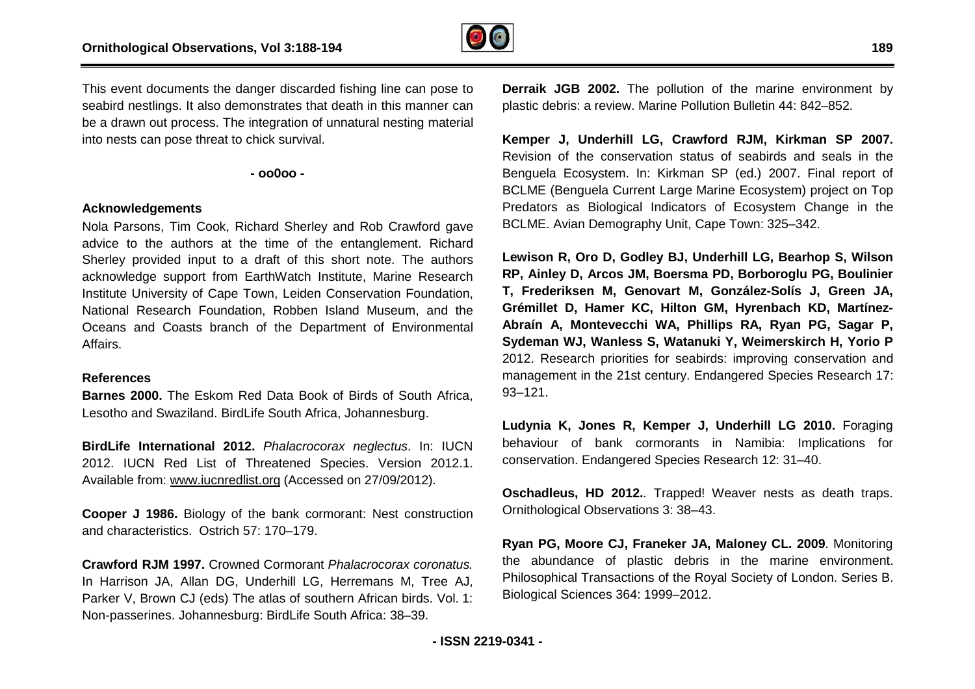

This event documents the danger discarded fishing line can pose to seabird nestlings. It also demonstrates that death in this manner can be a drawn out process. The integration of unnatural nesting material into nests can pose threat to chick survival.

**- oo0oo -** 

### **Acknowledgements**

Nola Parsons, Tim Cook, Richard Sherley and Rob Crawford gave advice to the authors at the time of the entanglement. Richard Sherley provided input to a draft of this short note. The authors acknowledge support from EarthWatch Institute, Marine Research Institute University of Cape Town, Leiden Conservation Foundation, National Research Foundation, Robben Island Museum, and the Oceans and Coasts branch of the Department of Environmental Affairs. Free Island Museum, and the<br>of the Department of Environmental<br>Data Book of Birds of South Africa,<br>Pouth Africa, Johannesburg.<br>Phalacrocorax neglectus. In: IUCN

#### **References**

**Barnes 2000.** The Eskom Red Data Book of Birds of South Africa, Lesotho and Swaziland. BirdLife South Africa, Johannesburg.

**BirdLife International 2012.** *Phalacrocorax neglectus* 2012. IUCN Red List of Threatened Species. Version 2012.1. Available from: [www.iucnredlist.org](http://www.iucnredlist.org) (Accessed on 27/09/2012).

**Cooper J 1986.** Biology of the bank cormorant: Nest construction and characteristics. Ostrich 57: 170–179.

**Crawford RJM 1997.** Crowned Cormorant *Phalacrocorax coronatus.* In Harrison JA, Allan DG, Underhill LG, Herremans M, Tree AJ, Parker V, Brown CJ (eds) The atlas of southern African birds. Vol. 1: Non-passerines. Johannesburg: BirdLife South Africa: 38–39.

**Derraik JGB 2002.** The pollution of the marine environment by plastic debris: a review. Marine Pollution Bulletin 44: 842 842–852.

**Kemper J, Underhill LG, Crawford RJM, Kirkman SP 2007.**  Revision of the conservation status of seabirds and seals in the Benguela Ecosystem. In: Kirkman SP (ed.) 2007. F Final report of BCLME (Benguela Current Large Marine Ecosystem) project on Top Predators as Biological Indicators of Ecosystem Change in the BCLME. Avian Demography Unit, Cape Town: 325 325–342.

**Lewison R, Oro D, Godley BJ, Underhill LG, Bearhop S, Wilson RP, Ainley D, Arcos JM, Boersma PD, Borboroglu PG, Boulinier T, Frederiksen M, Genovart M, González--Solís J, Green JA, Grémillet D, Hamer KC, Hilton GM, Hyrenbach KD, Martínez Martínez-Abraín A, Montevecchi WA, Phillips RA, Ryan PG, Sagar P, Sydeman WJ, Wanless S, Watanuki Y, Weimerskirch H, Yorio P nuki**2012. Research priorities for seabirds: improving conservation and management in the 21st century. Endangered Species Research 17: 93–121.

**Ludynia K, Jones R, Kemper J, Underhill LG 2010.**  Foraging behaviour of bank cormorants in Namibia: Implications for conservation. Endangered Species Research 12: 31 31–40.

Oschadleus, HD 2012.. Trapped! Weaver nests as death traps. Ornithological Observations 3: 38–43.

**Ryan PG, Moore CJ, Franeker JA, Maloney CL. 2009** . Monitoring the abundance of plastic debris in the marine environment. Philosophical Transactions of the Royal Society of London. Series B. Biological Sciences 364: 1999–2012.

**189**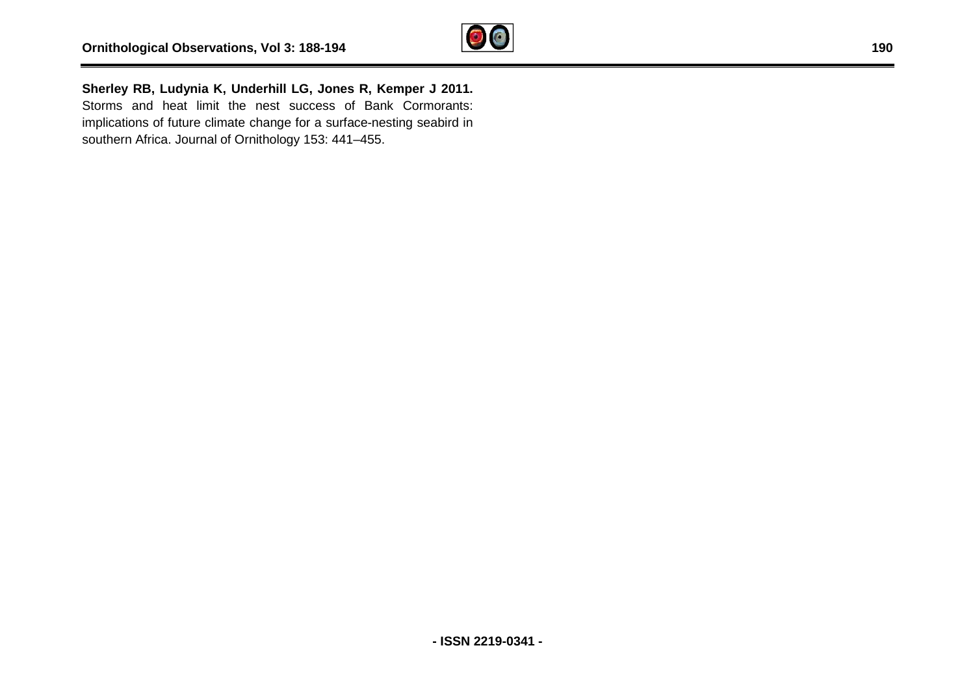

**Sherley RB, Ludynia K, Underhill LG, Jones R, Kemper J 2011.**  Storms and heat limit the nest success of Bank Cormorants: implications of future climate change for a surface-nesting seabird in southern Africa. Journal of Ornithology 153: 441–455. bservations, Vol 3: 188-194<br>
ynia K, Underhill LG, Jones R, Kemper J 2011.<br>
t limit the nest success of Bank Cormorants:<br>
ure climate change for a surface-nesting seabird in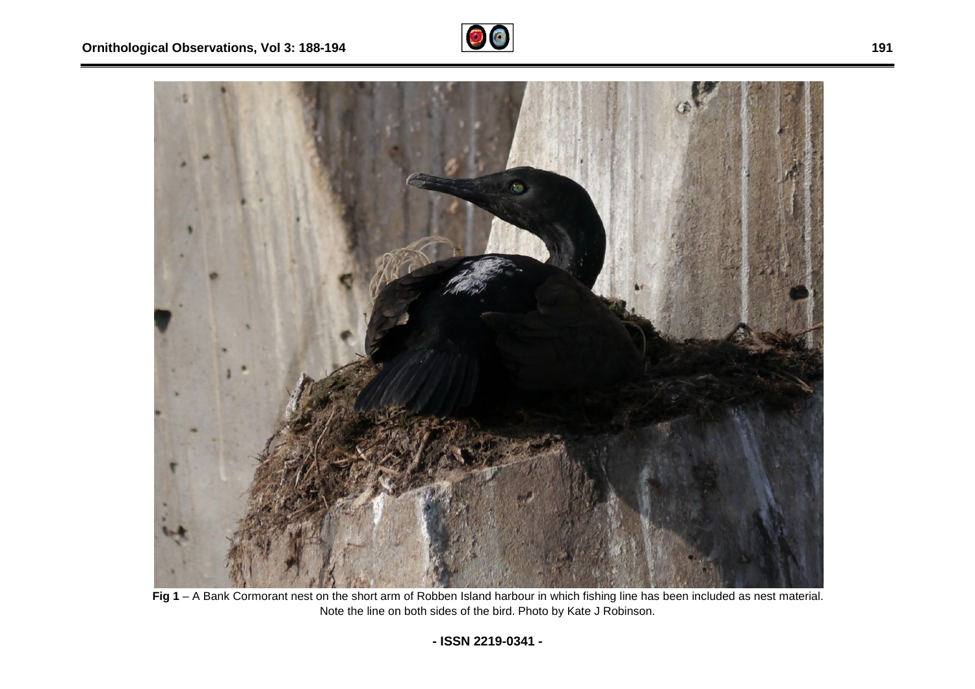



Fig 1 – A Bank Cormorant nest on the short arm of Robben Island harbour in which fishing line has been included as nest material. Note the line on both sides of the bird. Photo by Kate J Robinson.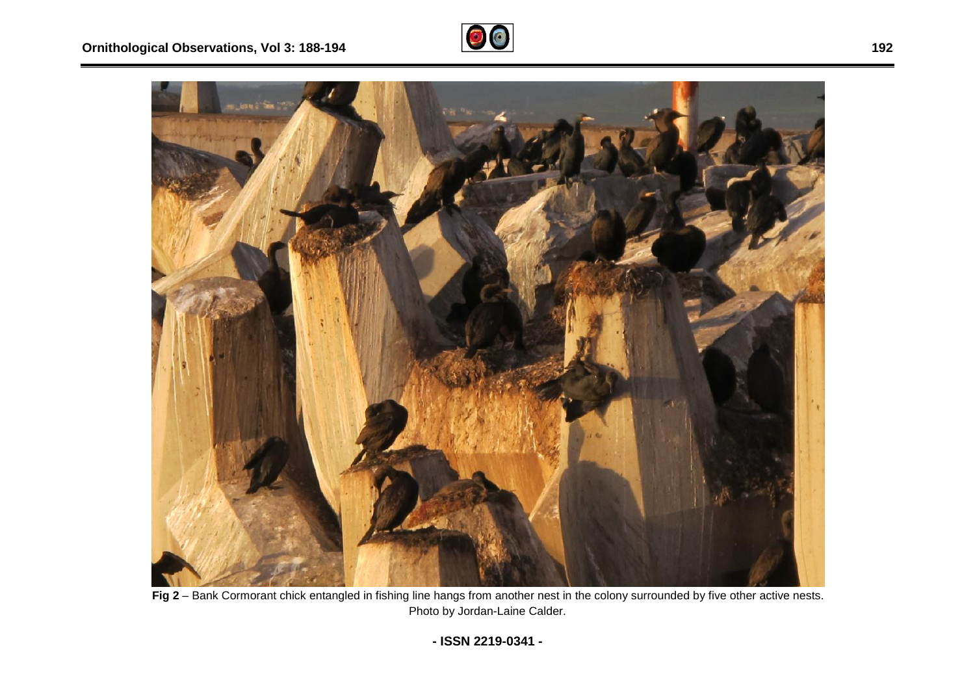



**Fig 2** – Bank Cormorant chick entangled in fishing line hangs from another nest in the colony surrounded by five other active nests. Photo by Jordan-Laine Calder.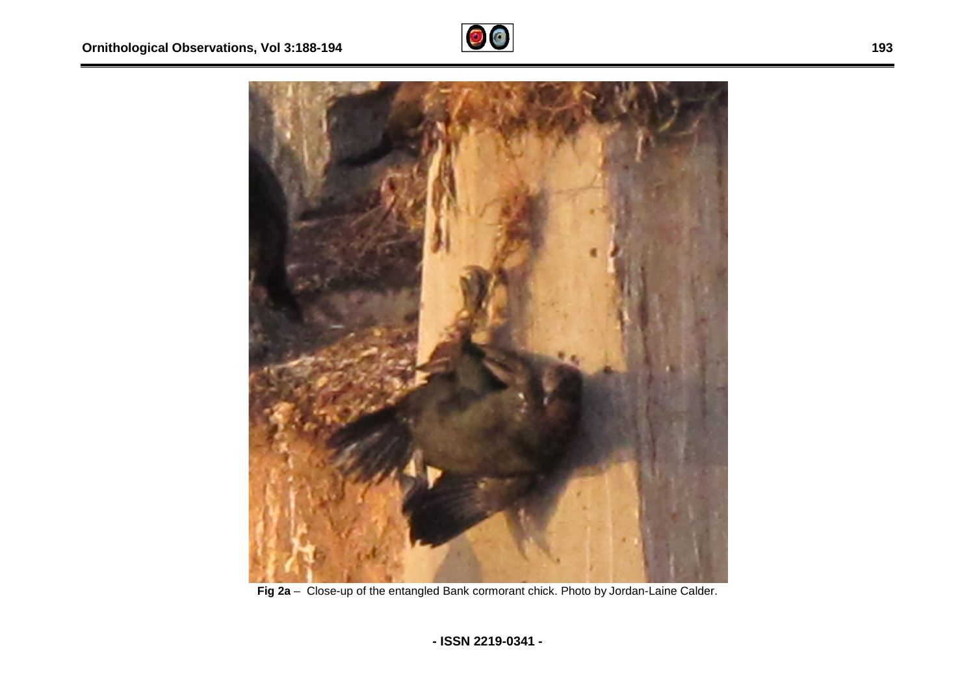



Fig 2a - Close-up of the entangled Bank cormorant chick. Photo by Jordan-Laine Calder.

**193**